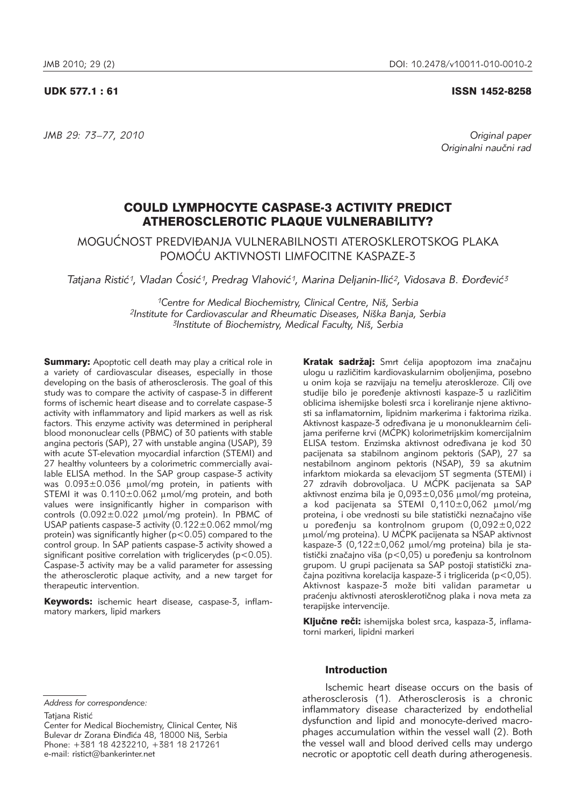*JMB 29: 73–77, 2010 Original paper*

#### UDK 577.1 : 61 ISSN 1452-8258

Originalni naučni rad

# COULD LYMPHOCYTE CASPASE-3 ACTIVITY PREDICT ATHEROSCLEROTIC PLAQUE VULNERABILITY?

MOGUĆNOST PREDVIĐANJA VULNERABILNOSTI ATEROSKI EROTSKOG PLAKA POMOĆU AKTIVNOSTI LIMFOCITNE KASPAZE-3

Tatjana Ristić<sup>1</sup>, Vladan Ćosić<sup>1</sup>, Predrag Vlahović<sup>1</sup>, Marina Deljanin-Ilić<sup>2</sup>, Vidosava B. Đorđević<sup>3</sup>

*1Centre for Medical Biochemistry, Clinical Centre, Ni{, Serbia* <sup>2</sup>Institute for Cardiovascular and Rheumatic Diseases, Niška Banja, Serbia *3Institute of Biochemistry, Medical Faculty, Ni{, Serbia*

**Summary:** Apoptotic cell death may play a critical role in a variety of cardiovascular diseases, especially in those developing on the basis of atherosclerosis. The goal of this study was to compare the activity of caspase-3 in different forms of ischemic heart disease and to correlate caspase-3 activity with inflammatory and lipid markers as well as risk factors. This enzyme activity was determined in peripheral blood mononuclear cells (PBMC) of 30 patients with stable angina pectoris (SAP), 27 with unstable angina (USAP), 39 with acute ST-elevation myocardial infarction (STEMI) and 27 healthy volunteers by a colorimetric commercially available ELISA method. In the SAP group caspase-3 activity was  $0.093\pm0.036$   $\mu$ mol/mg protein, in patients with STEMI it was  $0.110 \pm 0.062$   $\mu$ mol/mg protein, and both values were insignificantly higher in comparison with controls  $(0.092 \pm 0.022 \mu mol/mg$  protein). In PBMC of USAP patients caspase-3 activity (0.122±0.062 mmol/mg protein) was significantly higher (p<0.05) compared to the control group. In SAP patients caspase-3 activity showed a significant positive correlation with triglicerydes (p<0.05). Caspase-3 activity may be a valid parameter for assessing the atherosclerotic plaque activity, and a new target for therapeutic intervention.

Keywords: ischemic heart disease, caspase-3, inflammatory markers, lipid markers

Kratak sadržaj: Smrt ćelija apoptozom ima značajnu ulogu u različitim kardiovaskularnim oboljenjima, posebno u onim koja se razvijaju na temelju ateroskleroze. Cilj ove studije bilo je poređenje aktivnosti kaspaze-3 u različitim oblicima ishemijske bolesti srca i koreliranje njene aktivnosti sa inflamatornim, lipidnim markerima i faktorima rizika. Aktivnost kaspaze-3 određivana je u mononuklearnim ćelijama periferne krvi (MĆPK) kolorimetrijskim komercijalnim ELISA testom. Enzimska aktivnost određivana je kod 30 pacijenata sa stabilnom anginom pektoris (SAP), 27 sa nestabilnom anginom pektoris (NSAP), 39 sa akutnim infarktom miokarda sa elevacijom ST segmenta (STEMI) i 27 zdravih dobrovoljaca. U MĆPK pacijenata sa SAP aktivnost enzima bila je  $0.093 \pm 0.036$  µmol/mq proteina, a kod pacijenata sa STEMI  $0.110 \pm 0.062$  umol/mg proteina, i obe vrednosti su bile statistički neznačajno više u poređenju sa kontrolnom grupom (0,092±0,022 umol/mg proteina). U MĆPK pacijenata sa NSAP aktivnost kaspaze-3 (0,122 $\pm$ 0,062 µmol/mg proteina) bila je statistički značajno viša (p<0,05) u poređenju sa kontrolnom grupom. U grupi pacijenata sa SAP postoji statistički značajna pozitivna korelacija kaspaze-3 i triglicerida (p<0,05). Aktivnost kaspaze-3 može biti validan parametar u praćenju aktivnosti aterosklerotičnog plaka i nova meta za terapijske intervencije.

Ključne reči: ishemijska bolest srca, kaspaza-3, inflamatorni markeri, lipidni markeri

*Address for correspondence:*

Tatiana Ristić

Center for Medical Biochemistry, Clinical Center, Niš Bulevar dr Zorana Đinđića 48, 18000 Niš, Serbia Phone: +381 18 4232210, +381 18 217261 e-mail: ristict@bankerinter.net

# Introduction

Ischemic heart disease occurs on the basis of atherosclerosis (1). Atherosclerosis is a chronic inflam matory disease characterized by endothelial dysfunction and lipid and monocyte-derived macrophages accumulation within the vessel wall (2). Both the vessel wall and blood derived cells may undergo necrotic or apoptotic cell death during atherogenesis.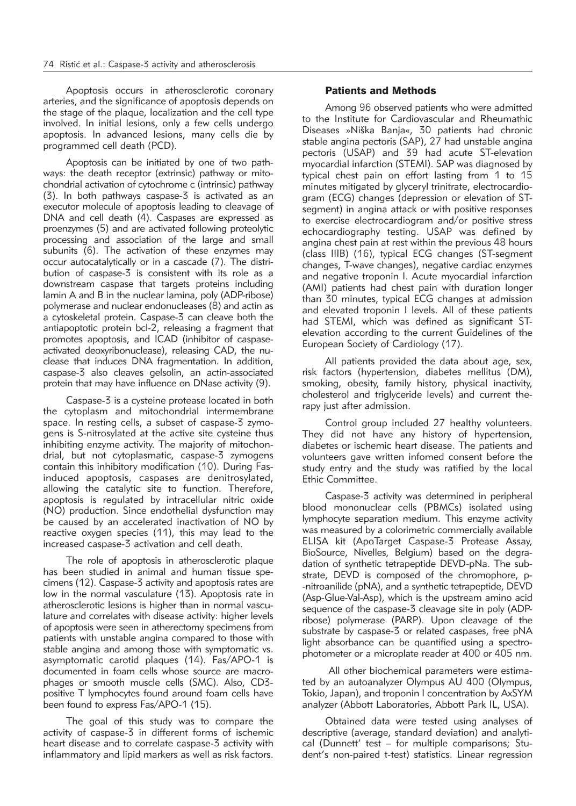Apoptosis occurs in atherosclerotic coronary arteries, and the significance of apoptosis depends on the stage of the plaque, localization and the cell type involved. In initial lesions, only a few cells undergo apoptosis. In advanced lesions, many cells die by programmed cell death (PCD).

Apoptosis can be initiated by one of two pathways: the death receptor (extrinsic) pathway or mitochondrial activation of cytochrome c (intrinsic) pathway (3). In both pathways caspase-3 is activated as an executor molecule of apoptosis leading to cleavage of DNA and cell death (4). Caspases are expressed as proenzymes (5) and are activated following proteolytic processing and association of the large and small subunits  $(6)$ . The activation of these enzymes may occur autocatalytically or in a cascade (7). The distribution of caspase-3 is consistent with its role as a downstream caspase that targets proteins including lamin A and B in the nuclear lamina, poly (ADP-ribose) polymerase and nuclear endonucleases (8) and actin as a cytoskeletal protein. Caspase-3 can cleave both the antiapoptotic protein bcl-2, releasing a fragment that promotes apoptosis, and ICAD (inhibitor of caspaseactivated deoxyribonuclease), releasing CAD, the nuclease that induces DNA fragmentation. In addition, caspase-3 also cleaves gelsolin, an actin-associated protein that may have influence on DNase activity (9).

Caspase-3 is a cysteine protease located in both the cytoplasm and mitochondrial intermembrane space. In resting cells, a subset of caspase-3 zymogens is S-nitrosylated at the active site cysteine thus inhibiting enzyme activity. The majority of mitochondrial, but not cytoplasmatic, caspase-3 zymogens contain this inhibitory modification (10). During Fasinduced apoptosis, caspases are denitrosylated, allowing the catalytic site to function. Therefore, apoptosis is regulated by intracellular nitric oxide (NO) production. Since endothelial dysfunction may be caused by an accelerated inactivation of NO by reactive oxygen species (11), this may lead to the increased caspase-3 activation and cell death.

The role of apoptosis in atherosclerotic plaque has been studied in animal and human tissue specimens (12). Caspase-3 activity and apoptosis rates are low in the normal vasculature (13). Apoptosis rate in atherosclerotic lesions is higher than in normal vasculature and correlates with disease activity: higher levels of apoptosis were seen in atherectomy specimens from patients with unstable angina compared to those with stable angina and among those with symptomatic vs. asymptomatic carotid plaques (14). Fas/APO-1 is documented in foam cells whose source are macrophages or smooth muscle cells (SMC). Also, CD3positive T lymphocytes found around foam cells have been found to express Fas/APO-1 (15).

The goal of this study was to compare the activity of caspase-3 in different forms of ischemic heart disease and to correlate caspase-3 activity with inflammatory and lipid markers as well as risk factors.

## Patients and Methods

Among 96 observed patients who were admitted to the Institute for Cardiovascular and Rheumathic Diseases »Niška Banja«, 30 patients had chronic stable angina pectoris (SAP), 27 had unstable angina pectoris (USAP) and 39 had acute ST-elevation myocardial infarction (STEMI). SAP was diagnosed by typical chest pain on effort lasting from 1 to 15 minutes mitigated by glyceryl trinitrate, electrocardiogram (ECG) changes (depression or elevation of STsegment) in angina attack or with positive responses to exercise electrocardiogram and/or positive stress echocardiography testing. USAP was defined by angina chest pain at rest within the previous 48 hours (class IIIB) (16), typical ECG changes (ST-segment changes, T-wave changes), negative cardiac enzymes and negative troponin I. Acute myocardial infarction (AMI) patients had chest pain with duration longer than 30 minutes, typical ECG changes at admission and elevated troponin I levels. All of these patients had STEMI, which was defined as significant STelevation according to the current Guidelines of the European Society of Cardiology (17).

All patients provided the data about age, sex, risk factors (hypertension, diabetes mellitus (DM), smoking, obesity, family history, physical inactivity, cholesterol and triglyceride levels) and current therapy just after admission.

Control group included 27 healthy volunteers. They did not have any history of hypertension, diabetes or ischemic heart disease. The patients and volunteers gave written infomed consent before the study entry and the study was ratified by the local Ethic Committee.

Caspase-3 activity was determined in peripheral blood mononuclear cells (PBMCs) isolated using lymphocyte separation medium. This enzyme activity was measured by a colorimetric commercially available ELISA kit (ApoTarget Caspase-3 Protease Assay, BioSource, Nivelles, Belgium) based on the degradation of synthetic tetrapeptide DEVD-pNa. The substrate, DEVD is composed of the chromophore, p--nitroanilide (pNA), and a synthetic tetrapeptide, DEVD (Asp-Glue-Val-Asp), which is the upstream amino acid sequence of the caspase-3 cleavage site in poly (ADPribose) polymerase (PARP). Upon cleavage of the substrate by caspase-3 or related caspases, free pNA light absorbance can be quantified using a spectrophotometer or a microplate reader at 400 or 405 nm.

All other biochemical parameters were estimated by an autoanalyzer Olympus AU 400 (Olympus, Tokio, Japan), and troponin I concentration by AxSYM analyzer (Abbott Laboratories, Abbott Park IL, USA).

Obtained data were tested using analyses of descriptive (average, standard deviation) and analytical (Dunnett' test - for multiple comparisons; Student's non-paired t-test) statistics. Linear regression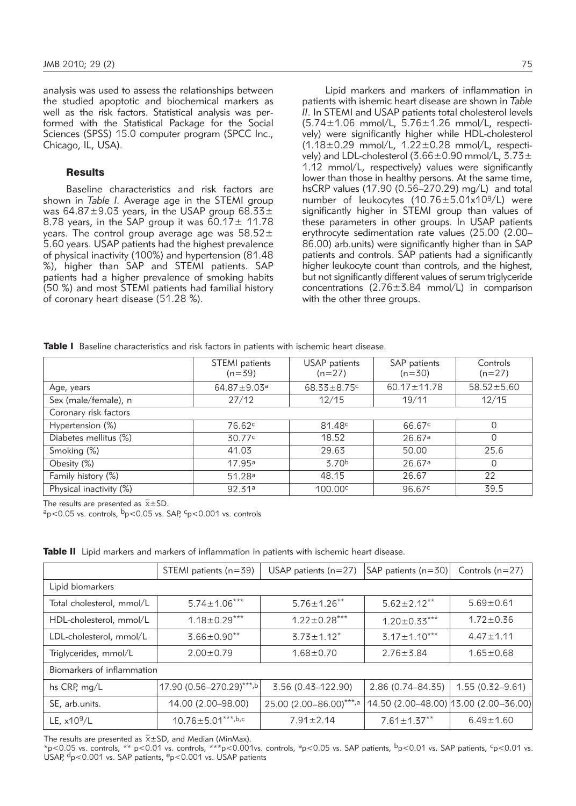analysis was used to assess the relationships between the studied apoptotic and biochemical markers as well as the risk factors. Statistical analysis was performed with the Statistical Package for the Social Sciences (SPSS) 15.0 computer program (SPCC Inc., Chicago, IL, USA).

## **Results**

Baseline characteristics and risk factors are shown in *Table I.* Average age in the STEMI group was  $64.87 \pm 9.03$  years, in the USAP group  $68.33 \pm$ 8.78 years, in the SAP group it was  $60.17 \pm 11.78$ years. The control group average age was  $58.52 \pm$ 5.60 years. USAP patients had the highest prevalence of physical inactivity (100%) and hypertension (81.48 %), higher than SAP and STEMI patients. SAP patients had a higher prevalence of smoking habits (50 %) and most STEMI patients had familial history of coronary heart disease (51.28 %).

Lipid markers and markers of inflammation in patients with ishemic heart disease are shown in *Table II*. In STEMI and USAP patients total cholesterol levels  $(5.74\pm1.06$  mmol/L,  $5.76\pm1.26$  mmol/L, respectively) were significantly higher while HDL-cholesterol  $(1.18\pm0.29$  mmol/L,  $1.22\pm0.28$  mmol/L, respectively) and LDL-cholesterol (3.66±0.90 mmol/L, 3.73±  $1.12$  mmol/L, respectively) values were significantly lower than those in healthy persons. At the same time, hsCRP values (17.90 (0.56-270.29) mg/L) and total number of leukocytes (10.76±5.01x109/L) were significantly higher in STEMI group than values of these parameters in other groups. In USAP patients erythrocyte sedimentation rate values (25.00 (2.00– 86.00) arb.units) were significantly higher than in SAP patients and controls. SAP patients had a significantly higher leukocyte count than controls, and the highest, but not significantly different values of serum triglyceride concentrations (2.76±3.84 mmol/L) in comparison with the other three groups.

|  |  | Table I Baseline characteristics and risk factors in patients with ischemic heart disease. |  |  |  |  |  |  |  |  |  |
|--|--|--------------------------------------------------------------------------------------------|--|--|--|--|--|--|--|--|--|
|--|--|--------------------------------------------------------------------------------------------|--|--|--|--|--|--|--|--|--|

|                         | STEMI patients<br>$(n=39)$    | USAP patients<br>$(n=27)$ | SAP patients<br>$(n=30)$ | Controls<br>$(n=27)$ |  |  |
|-------------------------|-------------------------------|---------------------------|--------------------------|----------------------|--|--|
| Age, years              | $64.87 \pm 9.03$ <sup>a</sup> | $68.33 \pm 8.75$          | $60.17 \pm 11.78$        | $58.52 \pm 5.60$     |  |  |
| Sex (male/female), n    | 27/12                         | 12/15                     | 19/11                    | 12/15                |  |  |
| Coronary risk factors   |                               |                           |                          |                      |  |  |
| Hypertension (%)        | 76.62c                        | 81.48c                    | 66.67 <sup>c</sup>       | $\Omega$             |  |  |
| Diabetes mellitus (%)   | 30.77 <sup>c</sup>            | 18.52                     | 26.67a                   | $\Omega$             |  |  |
| Smoking (%)             | 41.03                         | 29.63                     | 50.00                    | 25.6                 |  |  |
| Obesity (%)             | 17.95 <sup>a</sup>            | 3.70 <sup>b</sup>         | 26.67a                   | $\Omega$             |  |  |
| Family history (%)      | 51.28 <sup>a</sup>            | 48.15                     | 26.67                    | 22                   |  |  |
| Physical inactivity (%) | 92.31ª                        | 100.00c                   | 96.67 <sup>c</sup>       | 39.5                 |  |  |

The results are presented as  $\bar{x} \pm SD$ .

 $a_p$ <0.05 vs. controls,  $b_p$ <0.05 vs. SAP,  $c_p$ <0.001 vs. controls

Table II Lipid markers and markers of inflammation in patients with ischemic heart disease.

|                            | STEMI patients $(n=39)$   | USAP patients $(n=27)$  | SAP patients (n=30)                   | Controls $(n=27)$   |  |  |  |
|----------------------------|---------------------------|-------------------------|---------------------------------------|---------------------|--|--|--|
| Lipid biomarkers           |                           |                         |                                       |                     |  |  |  |
| Total cholesterol, mmol/L  | $5.74 \pm 1.06***$        | $5.76 \pm 1.26$ **      | $5.62 \pm 2.12$ **                    | $5.69 \pm 0.61$     |  |  |  |
| HDL-cholesterol, mmol/L    | $1.18 \pm 0.29***$        | $1.22 \pm 0.28***$      | $1.20 \pm 0.33***$                    | $1.72 \pm 0.36$     |  |  |  |
| LDL-cholesterol, mmol/L    | $3.66 \pm 0.90$ **        | $3.73 \pm 1.12^*$       | $3.17 \pm 1.10***$                    | $4.47 \pm 1.11$     |  |  |  |
| Triglycerides, mmol/L      | $2.00 \pm 0.79$           | $1.68 + 0.70$           | $2.76 \pm 3.84$                       | $1.65 \pm 0.68$     |  |  |  |
| Biomarkers of inflammation |                           |                         |                                       |                     |  |  |  |
| hs CRP, mg/L               | 17.90 (0.56-270.29)***,b  | 3.56 (0.43-122.90)      | 2.86 (0.74-84.35)                     | $1.55(0.32 - 9.61)$ |  |  |  |
| SE, arb.units.             | 14.00 (2.00-98.00)        | 25.00 (2.00-86.00)***,a | 14.50 (2.00-48.00) 13.00 (2.00-36.00) |                     |  |  |  |
| LE, $x10^9/L$              | $10.76 \pm 5.01***$ , b,c | $7.91 \pm 2.14$         | $7.61 \pm 1.37**$                     | $6.49 \pm 1.60$     |  |  |  |

The results are presented as  $\bar{x} \pm SD$ , and Median (Min Max).

\*p<0.05 vs. controls, \*\* p<0.01 vs. controls, \*\*\*p<0.001vs. controls, <sup>a</sup>p<0.05 vs. SAP patients, <sup>b</sup>p<0.01 vs. SAP patients, <sup>c</sup>p<0.01 vs. USAP, dp<0.001 vs. SAP patients, ep<0.001 vs. USAP patients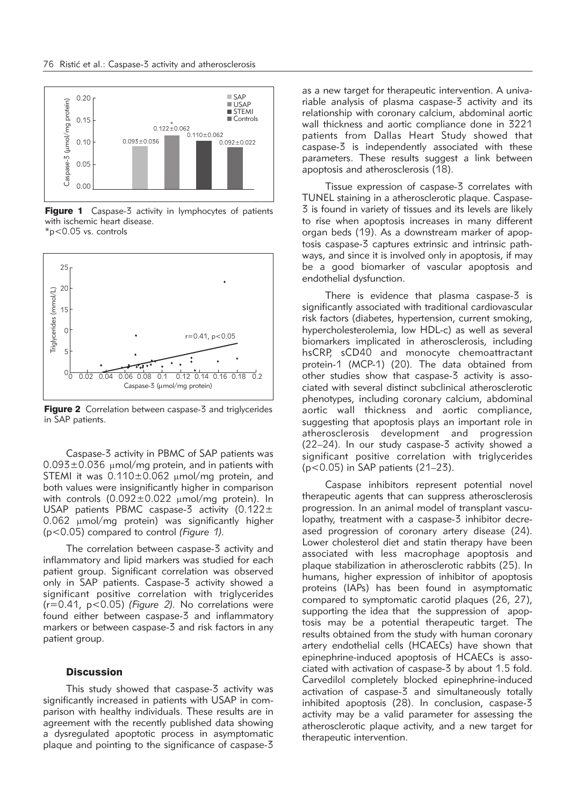

Figure 1 Caspase-3 activity in lymphocytes of patients with ischemic heart disease. \*p<0.05 vs. controls



Figure 2 Correlation between caspase-3 and triglycerides in SAP patients.

Caspase-3 activity in PBMC of SAP patients was  $0.093\pm0.036$  µmol/mg protein, and in patients with STEMI it was  $0.110\pm0.062$  µmol/mg protein, and both values were insignificantly higher in comparison with controls  $(0.092 \pm 0.022 \mu m$ ol/mg protein). In USAP patients PBMC caspase-3 activity  $(0.122 \pm$  $0.062$  µmol/mg protein) was significantly higher (p<0.05) compared to control *(Figure 1).*

The correlation between caspase-3 activity and inflammatory and lipid markers was studied for each patient group. Significant correlation was observed only in SAP patients. Caspase-3 activity showed a significant positive correlation with triglycerides (r=0.41, p<0.05) *(Figure 2).* No correlations were found either between caspase-3 and inflammatory markers or between caspase-3 and risk factors in any patient group.

#### **Discussion**

This study showed that caspase-3 activity was significantly increased in patients with USAP in comparison with healthy individuals. These results are in agreement with the recently published data showing a dysregulated apoptotic process in asymptomatic plaque and pointing to the significance of caspase-3

as a new target for therapeutic intervention. A univariable analysis of plasma caspase-3 activity and its relationship with coronary calcium, abdominal aortic wall thickness and aortic compliance done in 3221 patients from Dallas Heart Study showed that caspase-3 is independently associated with these parameters. These results suggest a link between apoptosis and atherosclerosis (18).

Tissue expression of caspase-3 correlates with TUNEL staining in a atherosclerotic plaque. Caspase-3 is found in variety of tissues and its levels are likely to rise when apoptosis increases in many different organ beds (19). As a downstream marker of apoptosis caspase-3 captures extrinsic and intrinsic path ways, and since it is involved only in apoptosis, if may be a good biomarker of vascular apoptosis and endothelial dysfunction.

There is evidence that plasma caspase-3 is significantly associated with traditional cardiovascular risk factors (diabetes, hypertension, current smoking, hypercholesterolemia, low HDL-c) as well as several biomarkers implicated in atherosclerosis, including hsCRP, sCD40 and monocyte chemoattractant protein-1 (MCP-1) (20). The data obtained from other studies show that caspase-3 activity is associated with several distinct subclinical atherosclerotic phenotypes, including coronary calcium, abdominal aortic wall thickness and aortic compliance, suggesting that apoptosis plays an important role in atherosclerosis development and progression (22–24). In our study caspase-3 activity showed a significant positive correlation with triglycerides (p<0.05) in SAP patients (21–23).

Caspase inhibitors represent potential novel therapeutic agents that can suppress atherosclerosis progression. In an animal model of transplant vasculopathy, treatment with a caspase-3 inhibitor decreased progression of coronary artery disease (24). Lower cholesterol diet and statin therapy have been associated with less macrophage apoptosis and plaque stabilization in atherosclerotic rabbits (25). In humans, higher expression of inhibitor of apoptosis proteins (IAPs) has been found in asymptomatic compared to symptomatic carotid plaques (26, 27), supporting the idea that the suppression of apoptosis may be a potential therapeutic target. The results obtained from the study with human coronary artery endothelial cells (HCAECs) have shown that epinephrine-induced apoptosis of HCAECs is associated with activation of caspase-3 by about 1.5 fold. Carvedilol completely blocked epinephrine-induced activation of caspase-3 and simultaneously totally inhibited apoptosis (28). In conclusion, caspase-3 activity may be a valid parameter for assessing the atherosclerotic plaque activity, and a new target for therapeutic intervention.